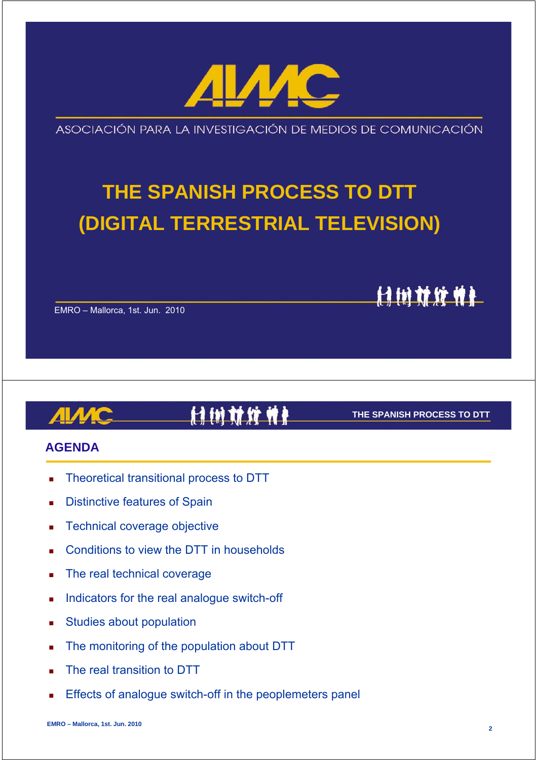

ASOCIACIÓN PARA LA INVESTIGACIÓN DE MEDIOS DE COMUNICACIÓN

# **THE SPANISH PROCESS TO DTT (DIGITAL TERRESTRIAL TELEVISION)**

EMRO – Mallorca, 1st. Jun. 2010

# 计树材纹件

#### **THE SPANISH PROCESS TO DTT**

计树材纹件

#### **AGENDA**

- Theoretical transitional process to DTT
- Distinctive features of Spain
- Technical coverage objective
- Conditions to view the DTT in households
- The real technical coverage
- Indicators for the real analogue switch-off
- Studies about population
- The monitoring of the population about DTT
- The real transition to DTT
- Effects of analogue switch-off in the peoplemeters panel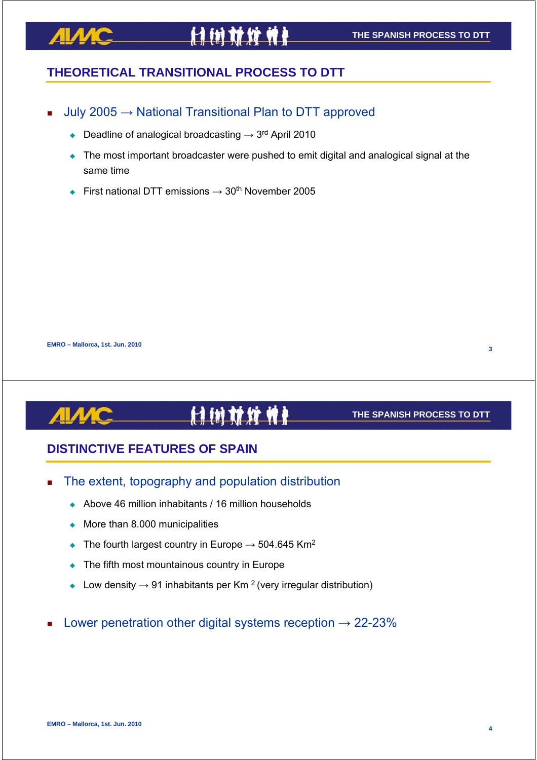# <u>AIAAC</u>

# **THEORETICAL TRANSITIONAL PROCESS TO DTT**

- July 2005 → National Transitional Plan to DTT approved
	- Deadline of analogical broadcasting  $\rightarrow$  3<sup>rd</sup> April 2010
	- The most important broadcaster were pushed to emit digital and analogical signal at the same time
	- First national DTT emissions  $\rightarrow$  30<sup>th</sup> November 2005

**EMRO – Mallorca, 1st. Jun. 2010**

#### **IN U II II** H

#### **THE SPANISH PROCESS TO DTT**

# **DISTINCTIVE FEATURES OF SPAIN**

- The extent, topography and population distribution
	- Above 46 million inhabitants / 16 million households
	- $\bullet$  More than 8.000 municipalities
	- The fourth largest country in Europe  $\rightarrow$  504.645 Km<sup>2</sup>
	- The fifth most mountainous country in Europe
	- $\bullet$  Low density  $\rightarrow$  91 inhabitants per Km<sup>2</sup> (very irregular distribution)
- Lower penetration other digital systems reception  $\rightarrow$  22-23%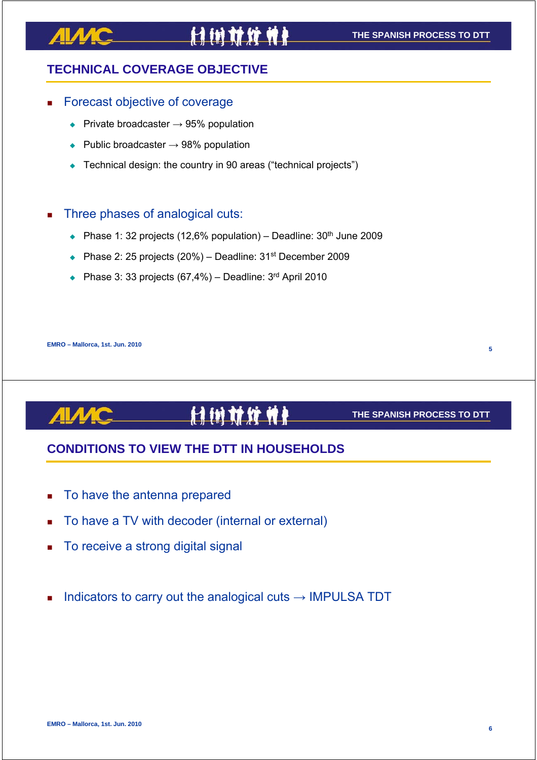# ЛІЛИ

# **TECHNICAL COVERAGE OBJECTIVE**

#### Forecast objective of coverage

- Private broadcaster  $\rightarrow$  95% population
- $\rightarrow$  Public broadcaster  $\rightarrow$  98% population
- ◆ Technical design: the country in 90 areas ("technical projects")

#### Three phases of analogical cuts:

- Phase 1: 32 projects (12,6% population) Deadline:  $30<sup>th</sup>$  June 2009
- Phase 2: 25 projects (20%) Deadline: 31<sup>st</sup> December 2009
- Phase 3: 33 projects  $(67,4\%)$  Deadline: 3<sup>rd</sup> April 2010

**EMRO – Mallorca, 1st. Jun. 2010**

#### **THE SPANISH PROCESS TO DTT**

### **CONDITIONS TO VIEW THE DTT IN HOUSEHOLDS**

- To have the antenna prepared
- To have a TV with decoder (internal or external)
- To receive a strong digital signal
- Indicators to carry out the analogical cuts  $\rightarrow$  IMPULSA TDT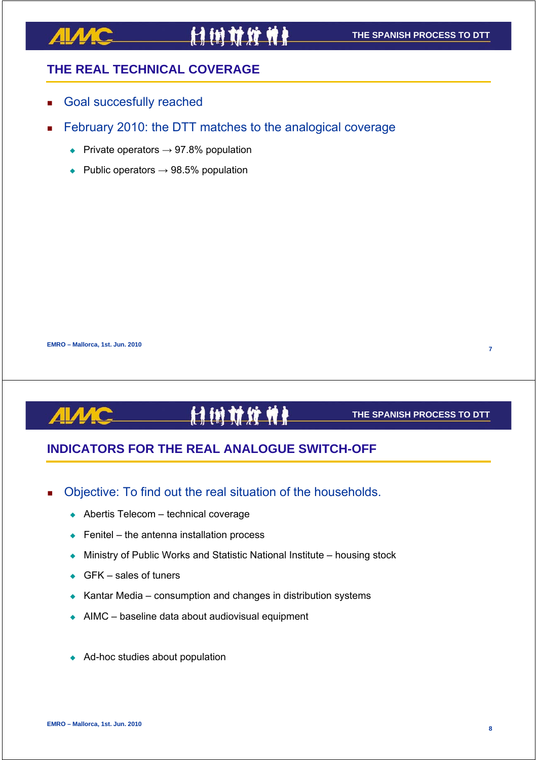### **THE REAL TECHNICAL COVERAGE**

- Goal succesfully reached
- February 2010: the DTT matches to the analogical coverage
	- $\rightarrow$  Private operators  $\rightarrow$  97.8% population
	- $\rightarrow$  Public operators  $\rightarrow$  98.5% population

**EMRO – Mallorca, 1st. Jun. 2010**

# **Hin ti yi n**

#### **THE SPANISH PROCESS TO DTT**

# **INDICATORS FOR THE REAL ANALOGUE SWITCH-OFF**

- Objective: To find out the real situation of the households.
	- ◆ Abertis Telecom technical coverage
	- $\leftarrow$  Fenitel the antenna installation process
	- ◆ Ministry of Public Works and Statistic National Institute housing stock
	- $\leftarrow$  GFK sales of tuners
	- $\triangle$  Kantar Media consumption and changes in distribution systems
	- $\triangle$  AIMC baseline data about audiovisual equipment
	- ◆ Ad-hoc studies about population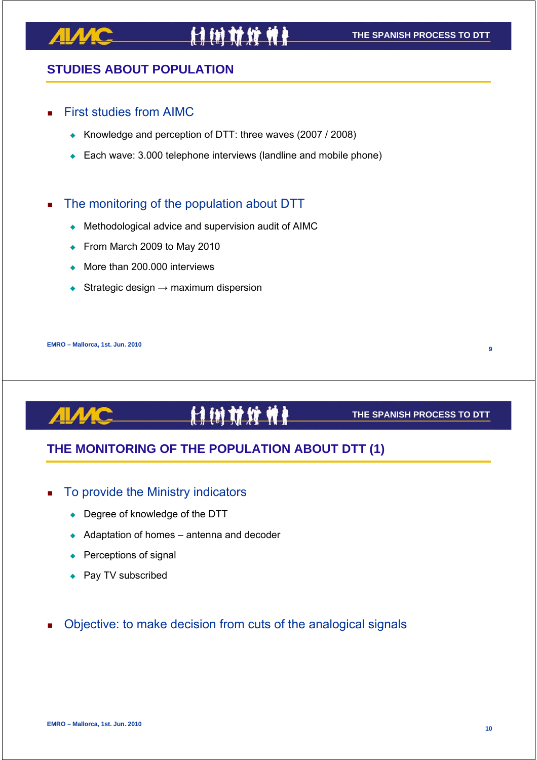### **STUDIES ABOUT POPULATION**

#### First studies from AIMC

- Knowledge and perception of DTT: three waves (2007 / 2008)
- ◆ Each wave: 3.000 telephone interviews (landline and mobile phone)

#### The monitoring of the population about DTT

- Methodological advice and supervision audit of AIMC
- From March 2009 to May 2010
- ◆ More than 200,000 interviews
- Strategic design  $\rightarrow$  maximum dispersion

**EMRO – Mallorca, 1st. Jun. 2010**

# **MMXM**

#### **THE SPANISH PROCESS TO DTT**

# **THE MONITORING OF THE POPULATION ABOUT DTT (1)**

#### To provide the Ministry indicators

- ◆ Degree of knowledge of the DTT
- $\triangleleft$  Adaptation of homes antenna and decoder
- $\leftarrow$  Perceptions of signal
- ◆ Pay TV subscribed
- Objective: to make decision from cuts of the analogical signals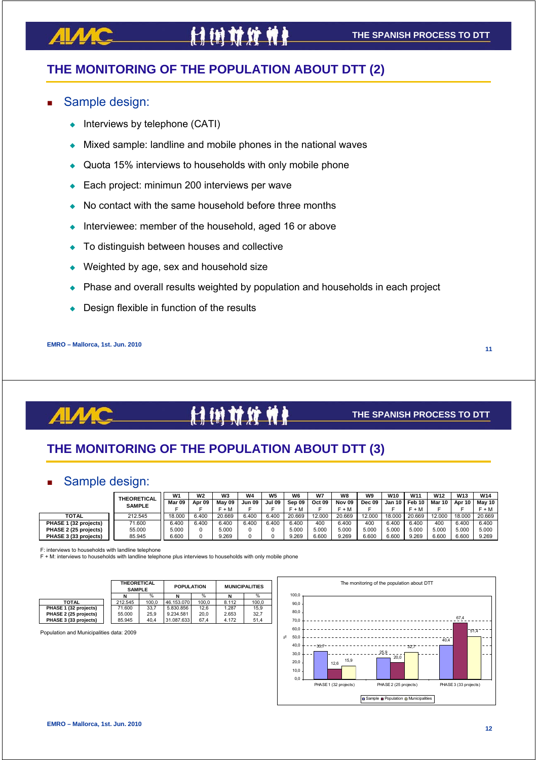# **THE MONITORING OF THE POPULATION ABOUT DTT (2)**

#### Sample design:

- Interviews by telephone (CATI)
- Mixed sample: landline and mobile phones in the national waves
- Quota 15% interviews to households with only mobile phone
- ◆ Each project: minimun 200 interviews per wave
- No contact with the same household before three months
- Interviewee: member of the household, aged 16 or above
- To distinguish between houses and collective
- Weighted by age, sex and household size
- Phase and overall results weighted by population and households in each project
- Design flexible in function of the results

**EMRO – Mallorca, 1st. Jun. 2010**

**11**

#### H **in this will**

#### **THE SPANISH PROCESS TO DTT**

# **THE MONITORING OF THE POPULATION ABOUT DTT (3)**

### Sample design:

|                       | <b>THEORETICAL</b><br><b>SAMPLE</b> | W <sub>1</sub> | W <sub>2</sub> | W3     | W4     | W <sub>5</sub> | W <sub>6</sub> | W7     | W8            | W9            | <b>W10</b> | W <sub>11</sub> | <b>W12</b>    | <b>W13</b> | <b>W14</b> |
|-----------------------|-------------------------------------|----------------|----------------|--------|--------|----------------|----------------|--------|---------------|---------------|------------|-----------------|---------------|------------|------------|
|                       |                                     | Mar 09         | Apr 09         | May 09 | Jun 09 | <b>Jul 09</b>  | Sep 09         | Oct 09 | <b>Nov 09</b> | <b>Dec 09</b> | Jan 10 I   | Feb 10          | <b>Mar 10</b> | Apr 10     | Mav 10 l   |
|                       |                                     |                |                | F + M  |        |                | ' + M          |        | F + M         |               |            | F + M           |               |            | $F + M$    |
| <b>TOTAL</b>          | 212.545                             | 18,000         | 6.400          | 20.669 | 6.400  | 6.400          | 20.669         | 12,000 | 20.669        | 12.000        | 18.000     | 20.669          | 12.000        | 18,000     | 20.669     |
| PHASE 1 (32 projects) | 71.600                              | 6.400          | 6.400          | 6.400  | 6.400  | 6.400          | 6.400          | 400    | 6.400         | 400           | 6.400      | 6.400           | 400           | 6.400      | 6.400      |
| PHASE 2 (25 projects) | 55,000                              | 5.000          |                | 5.000  |        |                | 5.000          | 5.000  | 5.000         | 5.000         | 5.000      | 5.000           | 5.000         | 5.000      | 5.000      |
| PHASE 3 (33 projects) | 85.945                              | 6.600          |                | 9.269  |        |                | 9.269          | 6.600  | 9.269         | 6.600         | 6.600      | 9.269           | 6.600         | 6.600      | 9.269      |

F: interviews to households with landline telephone

F + M: interviews to households with landline telephone plus interviews to households with only mobile phone

|                       | <b>THEORETICAL</b><br><b>SAMPLE</b> |       | <b>POPULATION</b> |       | <b>MUNICIPALITIES</b> |       |  |
|-----------------------|-------------------------------------|-------|-------------------|-------|-----------------------|-------|--|
|                       |                                     | %     |                   | %     | N                     | %     |  |
| <b>TOTAL</b>          | 212.545                             | 100.0 | 46.153.070        | 100.0 | 8.112                 | 100.0 |  |
| PHASE 1 (32 projects) | 71.600                              | 33.7  | 5.830.856         | 12.6  | 1.287                 | 15.9  |  |
| PHASE 2 (25 projects) | 55,000                              | 25.9  | 9.234.581         | 20.0  | 2.653                 | 32.7  |  |
| PHASE 3 (33 projects) | 85.945                              | 40.4  | 31.087.633        | 67.4  | 4.172                 | 51.4  |  |

Population and Municipalities data: 2009

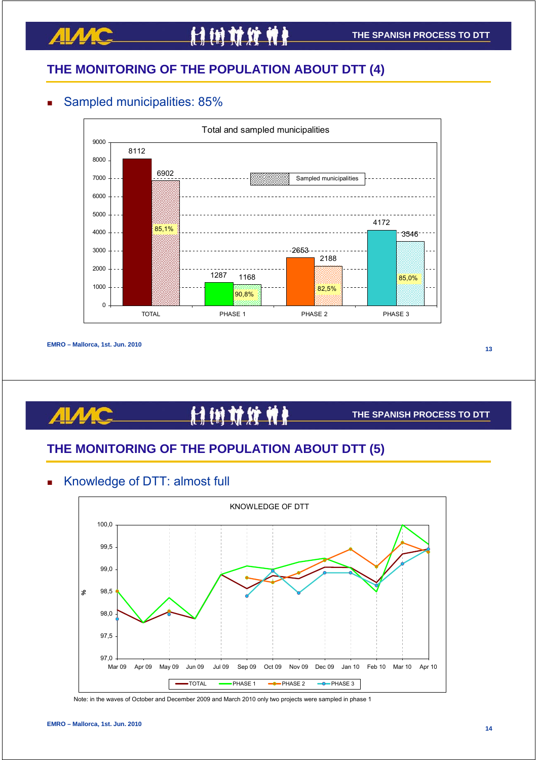# **THE MONITORING OF THE POPULATION ABOUT DTT (4)**

### Sampled municipalities: 85%



**EMRO – Mallorca, 1st. Jun. 2010**

**13**

#### <u>H</u> Ħ

#### **THE SPANISH PROCESS TO DTT**

# **THE MONITORING OF THE POPULATION ABOUT DTT (5)**

### Knowledge of DTT: almost full



Note: in the waves of October and December 2009 and March 2010 only two projects were sampled in phase 1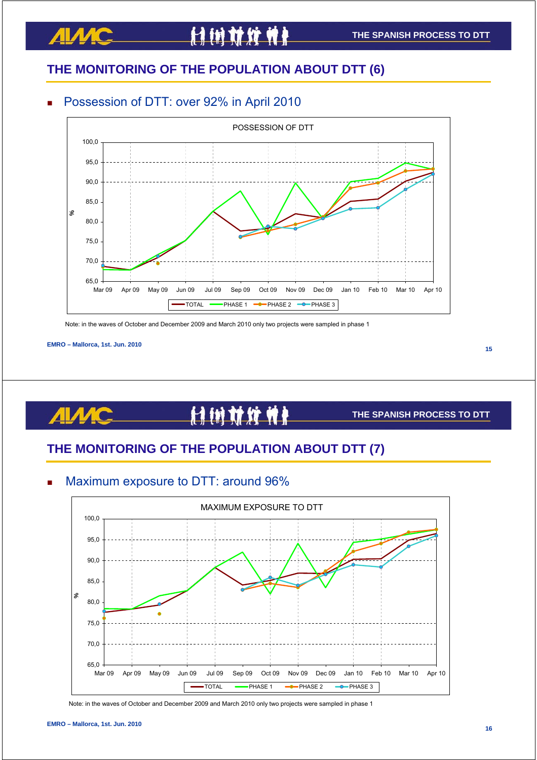# **THE MONITORING OF THE POPULATION ABOUT DTT (6)**

### Possession of DTT: over 92% in April 2010



Note: in the waves of October and December 2009 and March 2010 only two projects were sampled in phase 1

**EMRO – Mallorca, 1st. Jun. 2010**

**15**

#### <u>H</u> Ħ

#### **THE SPANISH PROCESS TO DTT**

# **THE MONITORING OF THE POPULATION ABOUT DTT (7)**



Maximum exposure to DTT: around 96%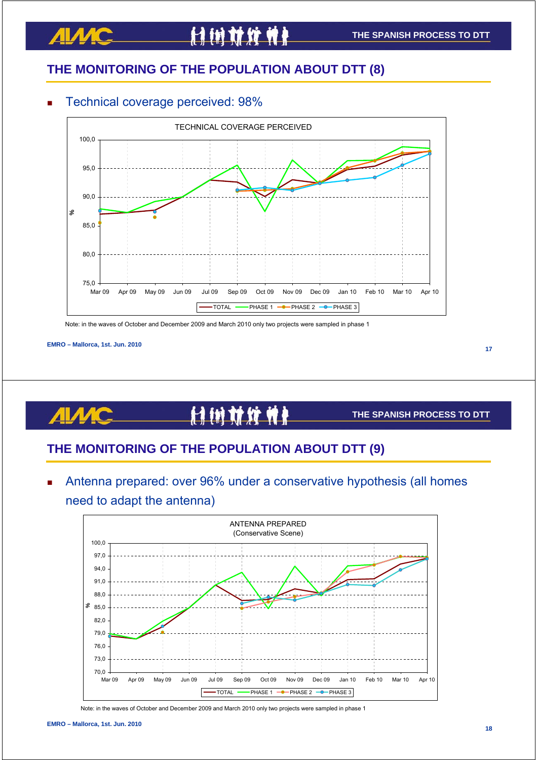# **THE MONITORING OF THE POPULATION ABOUT DTT (8)**

#### Technical coverage perceived: 98%



Note: in the waves of October and December 2009 and March 2010 only two projects were sampled in phase 1

**EMRO – Mallorca, 1st. Jun. 2010**

**17**

#### H 树材纹竹

#### **THE SPANISH PROCESS TO DTT**

# **THE MONITORING OF THE POPULATION ABOUT DTT (9)**

 Antenna prepared: over 96% under a conservative hypothesis (all homes need to adapt the antenna)



Note: in the waves of October and December 2009 and March 2010 only two projects were sampled in phase 1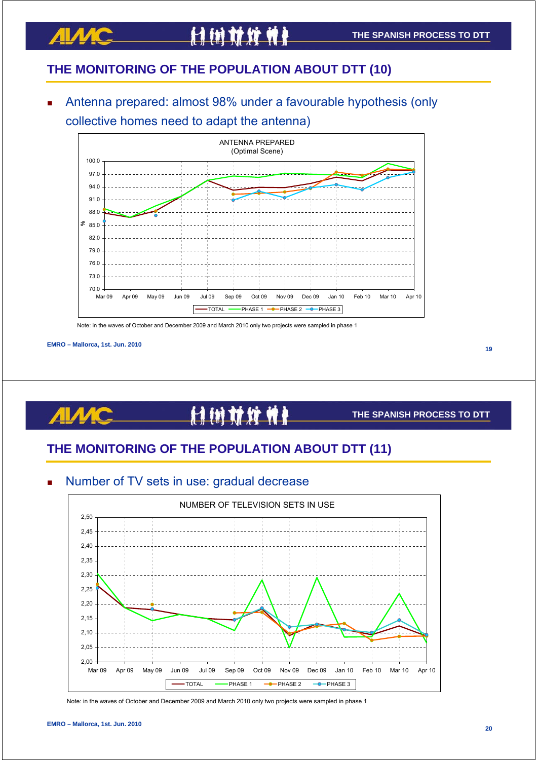# **THE MONITORING OF THE POPULATION ABOUT DTT (10)**

 Antenna prepared: almost 98% under a favourable hypothesis (only collective homes need to adapt the antenna)



Note: in the waves of October and December 2009 and March 2010 only two projects were sampled in phase 1

**ALAM** 

**19**

# 付付付付付

#### **THE SPANISH PROCESS TO DTT**

# **THE MONITORING OF THE POPULATION ABOUT DTT (11)**





Note: in the waves of October and December 2009 and March 2010 only two projects were sampled in phase 1

**EMRO – Mallorca, 1st. Jun. 2010**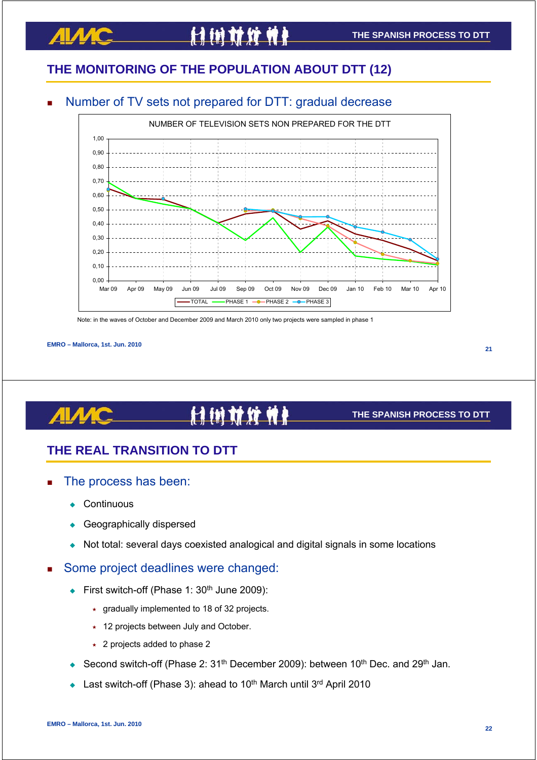### **THE SPANISH PROCESS TO DTT**

# **THE MONITORING OF THE POPULATION ABOUT DTT (12)**

付付就纹性

### Number of TV sets not prepared for DTT: gradual decrease



Note: in the waves of October and December 2009 and March 2010 only two projects were sampled in phase 1

#### **EMRO – Mallorca, 1st. Jun. 2010**

<u>ЛІЛИС</u>

#### **21**

# 计树材纹件

#### **THE SPANISH PROCESS TO DTT**

# **THE REAL TRANSITION TO DTT**

- The process has been:
	- **Continuous**
	- Geographically dispersed
	- Not total: several days coexisted analogical and digital signals in some locations

### Some project deadlines were changed:

- First switch-off (Phase 1: 30<sup>th</sup> June 2009):
	- $\star$  gradually implemented to 18 of 32 projects.
	- $\star$  12 projects between July and October.
	- \* 2 projects added to phase 2
- Second switch-off (Phase 2: 31<sup>th</sup> December 2009): between 10<sup>th</sup> Dec. and 29<sup>th</sup> Jan.
- Last switch-off (Phase 3): ahead to 10<sup>th</sup> March until 3<sup>rd</sup> April 2010